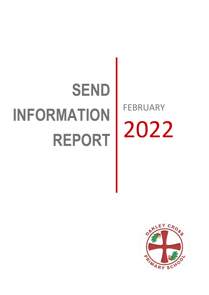# **SEND INFORMATION REPORT**

FEBRUARY 2022

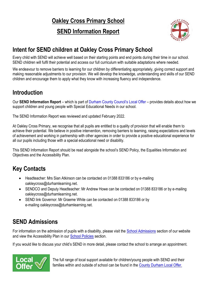## **Oakley Cross Primary School**

#### **SEND Information Report**



#### **Intent for SEND children at Oakley Cross Primary School**

Every child with SEND will achieve well based on their starting points and end points during their time in our school. SEND children will fulfil their potential and access our full curriculum with suitable adaptations where needed.

We endeavour to remove barriers to learning for our children by differentiating appropriately, giving correct support and making reasonable adjustments to our provision. We will develop the knowledge, understanding and skills of our SEND children and encourage them to apply what they know with increasing fluency and independence.

#### **Introduction**

Our **SEND Information Report** – which is part of Durham County [Council's](https://www.durham.gov.uk/localoffer) Local Offer – provides details about how we support children and young people with Special Educational Needs in our school.

The SEND Information Report was reviewed and updated February 2022.

At Oakley Cross Primary, we recognise that all pupils are entitled to a quality of provision that will enable them to achieve their potential. We believe in positive intervention, removing barriers to learning, raising expectations and levels of achievement and working in partnership with other agencies in order to provide a positive educational experience for all our pupils including those with a special educational need or disability.

This SEND Information Report should be read alongside the school's SEND Policy, the Equalities Information and Objectives and the Accessibility Plan.

#### **Key Contacts**

- Headteacher: Mrs Sian Atkinson can be contacted on 01388 833186 or by e-mailing oakleycross@durhamlearning.net.
- SENDCO and Deputy Headteacher: Mr Andrew Howe can be contacted on 01388 833186 or by e-mailing oakleycross@durhamlearning.net.
- SEND link Governor: Mr Graeme White can be contacted on 01388 833186 or by e-mailing oakleycross@durhamlearning.net.

#### **SEND Admissions**

For information on the admission of pupils with a disability, please visit the [School Admissions](https://www.oakleycross.durham.sch.uk/key-information/school-admissions/) section of our website and view the Accessibility Plan in our [School Policies](https://www.oakleycross.durham.sch.uk/key-information/school-policies/) section.

If you would like to discuss your child's SEND in more detail, please contact the school to arrange an appointment.



The full range of local support available for children/young people with SEND and their families within and outside of school can be found in the [County Durham Local Offer.](https://www.durham.gov.uk/localoffer)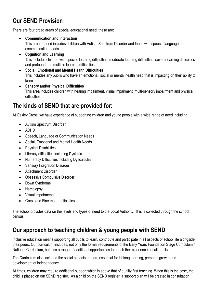#### **Our SEND Provision**

There are four broad areas of special educational need, these are:

- **Communication and Interaction**  This area of need includes children with Autism Spectrum Disorder and those with speech, language and communication needs
- **Cognition and Learning**  This includes children with specific learning difficulties, moderate learning difficulties, severe learning difficulties and profound and multiple learning difficulties
- **Social, Emotional and Mental Health Difficulties**  This includes any pupils who have an emotional, social or mental health need that is impacting on their ability to learn
- **Sensory and/or Physical Difficulties**  This area includes children with hearing impairment, visual impairment, multi-sensory impairment and physical difficulties.

#### **The kinds of SEND that are provided for:**

At Oakley Cross, we have experience of supporting children and young people with a wide range of need including:

- Autism Spectrum Disorder
- $\bullet$  ADHD
- Speech, Language or Communication Needs
- Social, Emotional and Mental Health Needs
- Physical Disabilities
- Literacy difficulties including Dyslexia
- Numeracy Difficulties including Dyscalculia
- Sensory Integration Disorder
- **•** Attachment Disorder
- Obsessive Compulsive Disorder
- Down Syndrome
- Narcolepsy
- Visual impairments
- Gross and Fine motor difficulties

The school provides data on the levels and types of need to the Local Authority. This is collected through the school census.

#### **Our approach to teaching children & young people with SEND**

Inclusive education means supporting all pupils to learn, contribute and participate in all aspects of school life alongside their peers. Our curriculum includes, not only the formal requirements of the Early Years Foundation Stage Curriculum / National Curriculum, but also a range of additional opportunities to enrich the experiences of all pupils.

The Curriculum also included the social aspects that are essential for lifelong learning, personal growth and development of independence.

At times, children may require additional support which is above that of quality first teaching. When this is the case, the child is placed on our SEND register. As a child on the SEND register, a support plan will be created in consultation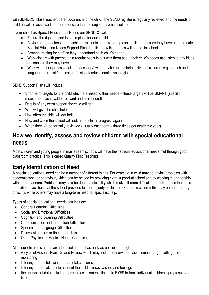with SENDCO, class teacher, parents/carers and the child. The SEND register is regularly reviewed and the needs of children will be assessed in order to ensure that the support given is suitable.

If your child has Special Educational Needs our SENDCO will:

- Ensure the right support is put in place for each child.
- Advise other teachers and teaching assistants on how to help each child and ensure they have an up to date Special Education Needs Support Plan detailing how their needs will be met in school.
- Arrange training for staff so they understand each child's needs.
- Work closely with parents on a regular basis to talk with them about their child's needs and listen to any ideas or concerns they may have.
- Work with other professionals (if necessary) who may be able to help individual children, e.g. speech and language therapist /medical professional/ educational psychologist.

SEND Support Plans will include:

- Short term targets for the child which are linked to their needs these targets will be SMART (specific, measurable, achievable, relevant and time-bound)
- Details of any extra support the child will get
- Who will give the child help
- How often the child will get help
- How and when the school will look at the child's progress again
- When they will be formally reviewed (usually each term three times per academic year)

#### **How we identify, assess and review children with special educational needs**

Most children and young people in mainstream schools will have their special educational needs met through good classroom practice. This is called Quality First Teaching.

#### **Early Identification of Need**

A special educational need can be a number of different things. For example, a child may be having problems with academic work or behaviour, which can be helped by providing extra support at school and by working in partnership with parents/carers. Problems may also be due to a disability which makes it more difficult for a child to use the same educational facilities that the school provides for the majority of children. For some children this may be a temporary difficulty, while others may have a long-term need for specialist help.

Types of special educational needs can include:

- General Learning Difficulties
- Social and Emotional Difficulties
- Cognition and Learning Difficulties
- Communication and Interaction Difficulties
- Speech and Language Difficulties
- Delays with gross or fine motor skills
- Other Physical or Medical Needs/Conditions

All of our children's needs are identified and met as early as possible through:

- A cycle of Assess, Plan, Do and Review which may include observation, assessment, target setting and monitoring
- listening to, and following up parental concerns
- listening to and taking into account the child's views, wishes and feelings
- the analysis of data including baseline assessments linked to EYFS to track individual children's progress over time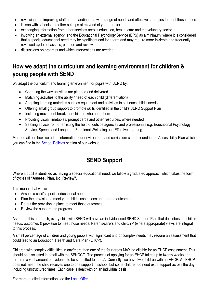- reviewing and improving staff understanding of a wide range of needs and effective strategies to meet those needs
- liaison with schools and other settings at mid/end of year transfer
- exchanging information from other services across education, health, care and the voluntary sector
- involving an external agency, and the Educational Psychology Service (EPS) as a minimum, where it is considered that a special educational need may be significant and long term and may require more in-depth and frequently reviewed cycles of assess, plan, do and review
- discussions on progress and which interventions are needed

#### **How we adapt the curriculum and learning environment for children & young people with SEND**

We adapt the curriculum and learning environment for pupils with SEND by:

- Changing the way activities are planned and delivered
- Matching activities to the ability / need of each child (differentiation)
- Adapting learning materials such as equipment and activities to suit each child's needs
- Offering small group support to promote skills identified in the child's SEND Support Plan
- Including movement breaks for children who need them
- Providing visual timetables, prompt cards and other resources, where needed
- Seeking advice from or enlisting the help of outside agencies and professionals e.g. Educational Psychology Service, Speech and Language, Emotional Wellbeing and Effective Learning

More details on how we adapt information, our environment and curriculum can be found in the Accessibility Plan which you can find in the [School Policies](https://www.oakleycross.durham.sch.uk/key-information/school-policies/) section of our website.

#### **SEND Support**

Where a pupil is identified as having a special educational need, we follow a graduated approach which takes the form of cycles of **"Assess, Plan, Do, Review".**

This means that we will:

- Assess a child's special educational needs
- Plan the provision to meet your child's aspirations and agreed outcomes
- Do put the provision in place to meet those outcomes
- Review the support and progress

As part of this approach, every child with SEND will have an individualised SEND Support Plan that describes the child's needs, outcomes & provision to meet those needs. Parents/carers and child/YP (where appropriate) views are integral to this process.

A small percentage of children and young people with significant and/or complex needs may require an assessment that could lead to an Education, Health and Care Plan (EHCP).

Children with complex difficulties in any/more than one of the four areas MAY be eligible for an EHCP assessment. This should be discussed in detail with the SENDCO. The process of applying for an EHCP takes up to twenty weeks and requires a vast amount of evidence to be submitted to the LA. Currently, we have two children with an EHCP. An EHCP does not mean the child receives one to one support in school, but some children do need extra support across the day including unstructured times. Each case is dealt with on an individual basis.

For more detailed information see the Local [Offer.](https://www.durham.gov.uk/localoffer)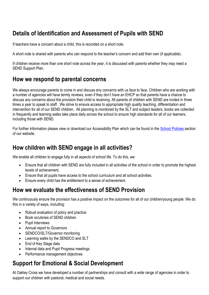#### **Details of Identification and Assessment of Pupils with SEND**

If teachers have a concern about a child, this is recorded on a short note.

A short note is shared with parents who can respond to the teacher's concern and add their own (if applicable).

If children receive more than one short note across the year, it is discussed with parents whether they may need a SEND Support Plan.

#### **How we respond to parental concerns**

We always encourage parents to come in and discuss any concerns with us face to face. Children who are working with a number of agencies will have termly reviews, even if they don't have an EHCP so that parents have a chance to discuss any concerns about the provision their child is receiving. All parents of children with SEND are invited in three times a year to speak to staff. We strive to ensure access to appropriate high quality teaching, differentiation and intervention for all of our SEND children. All planning is monitored by the SLT and subject leaders, books are collected in frequently and learning walks take place daily across the school to ensure high standards for all of our learners, including those with SEND.

For further information please view or download our Accessibility Plan which can be found in the School [Policies](https://www.oakleycross.durham.sch.uk/key-information/school-policies/) section of our website.

#### **How children with SEND engage in all activities?**

We enable all children to engage fully in all aspects of school life. To do this, we:

- Ensure that all children with SEND are fully included in all activities of the school in order to promote the highest levels of achievement.
- Ensure that all pupils have access to the school curriculum and all school activities.
- Ensure every child has the entitlement to a sense of achievement.

#### **How we evaluate the effectiveness of SEND Provision**

We continuously ensure the provision has a positive impact on the outcomes for all of our children/young people. We do this in a variety of ways, including:

- Robust evaluation of policy and practice
- Book scrutinies of SEND children
- Pupil Interviews
- Annual report to Governors
- SENDCO/SLT/Governor monitoring
- Learning walks by the SENDCO and SLT
- End of Key Stage data
- Internal data and Pupil Progress meetings
- Performance management objectives

#### **Support for Emotional & Social Development**

At Oakley Cross we have developed a number of partnerships and consult with a wide range of agencies in order to support our children with pastoral, medical and social needs.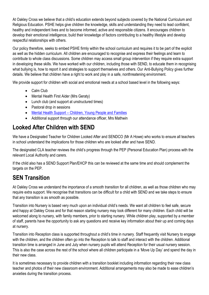At Oakley Cross we believe that a child's education extends beyond subjects covered by the National Curriculum and Religious Education. PSHE helps give children the knowledge, skills and understanding they need to lead confident, healthy and independent lives and to become informed, active and responsible citizens. It encourages children to develop their emotional intelligence, build their knowledge of factors contributing to a healthy lifestyle and develop respectful relationships with others.

Our policy therefore, seeks to embed PSHE firmly within the school curriculum and requires it to be part of the explicit as well as the hidden curriculum. All children are encouraged to recognise and express their feelings and learn to contribute to whole class discussions. Some children may access small group intervention if they require extra support in developing these skills. We have worked with our children, including those with SEND, to educate them in recognising what bullying is, how to report it and strategies to support themselves and others. Our Anti-Bullying Policy gives further details. We believe that children have a right to work and play in a safe, nonthreatening environment.

We provide support for children with social and emotional needs at a school based level in the following ways:

- Calm Club
- Mental Health First Aider (Mrs Geraty)
- Lunch club (and support at unstructured times)
- Pastoral drop in sessions
- Mental Health Support [Children, Young People and Families](https://durham.gov.uk/article/23374/Mental-health-and-emotional-support-for-children-young-people-and-families-in-County-Durham)
- Additional support through our attendance officer, Mrs Mathwin

#### **Looked After Children with SEND**

We have a Designated Teacher for Children Looked After and SENDCO (Mr A Howe) who works to ensure all teachers in school understand the implications for those children who are looked after and have SEND.

The designated CLA teacher reviews the child's progress through the PEP (Personal Education Plan) process with the relevant Local Authority and carers.

If the child also has a SEND Support Plan/EHCP this can be reviewed at the same time and should complement the targets on the PEP.

#### **SEN Transition**

At Oakley Cross we understand the importance of a smooth transition for all children, as well as those children who may require extra support. We recognise that transitions can be difficult for a child with SEND and we take steps to ensure that any transition is as smooth as possible.

Transition into Nursery is based very much upon an individual child's needs. We want all children to feel safe, secure and happy at Oakley Cross and for that reason starting nursery may look different for many children. Each child will be welcomed along to nursery, with family members, prior to starting nursery. While children play, supported by a member of staff, parents have the opportunity to ask any questions and receive key information about their up and coming days at nursery.

Transition into Reception class is supported throughout a child's time in nursery. Staff frequently visit Nursery to engage with the children, and the children often go into the Reception to talk to staff and interact with the children. Additional transition time is arranged in June and July when nursery pupils will attend Reception for their usual nursery session. This is also the case across the rest of the school where all children participate in a 'Move Up Day' and spend the day in their new class.

It is sometimes necessary to provide children with a transition booklet including information regarding their new class teacher and photos of their new classroom environment. Additional arrangements may also be made to ease children's anxieties during the transition process.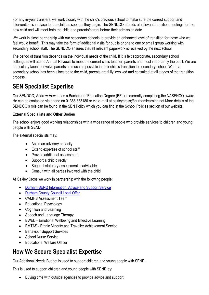For any in-year transfers, we work closely with the child's previous school to make sure the correct support and intervention is in place for the child as soon as they begin. The SENDCO attends all relevant transition meetings for the new child and will meet both the child and parents/carers before their admission date.

We work in close partnership with our secondary schools to provide an enhanced level of transition for those who we feel would benefit. This may take the form of additional visits for pupils or one to one or small group working with secondary school staff. The SENDCO ensures that all relevant paperwork is received by the next school.

The period of transition depends on the individual needs of the child. If it is felt appropriate, secondary school colleagues will attend Annual Reviews to meet the current class teacher, parents and most importantly the pupil. We are particularly keen to involve parents as much as possible in their child's transition to secondary school. When a secondary school has been allocated to the child, parents are fully involved and consulted at all stages of the transition process.

#### **SEN Specialist Expertise**

Our SENDCO, Andrew Howe, has a Bachelor of Education Degree (BEd) is currently completing the NASENCO award. He can be contacted via phone on 01388 833186 or via e-mail at oakleycross@durhamlearning.net More details of the SENDCO's role can be found in the SEN Policy which you can find in the School Policies section of our website.

#### **External Specialists and Other Bodies**

The school enjoys good working relationships with a wide range of people who provide services to children and young people with SEND.

The external specialists may:

- Act in an advisory capacity
- Extend expertise of school staff
- Provide additional assessment
- Support a child directly
- Suggest statutory assessment is advisable
- Consult with all parties involved with the child

At Oakley Cross we work in partnership with the following people:

- [Durham SEND Information, Advice and Support Service](https://durhamsendiass.info/)
- [Durham County Council Local Offer](https://www.durham.gov.uk/localoffer)
- CAMHS Assessment Team
- Educational Psychology
- Cognition and Learning
- Speech and Language Therapy
- EWEL Emotional Wellbeing and Effective Learning
- EMTAS Ethnic Minority and Traveller Achievement Service
- Behaviour Support Services
- School Nurse Service
- Educational Welfare Officer

### **How We Secure Specialist Expertise**

Our Additional Needs Budget is used to support children and young people with SEND.

This is used to support children and young people with SEND by:

Buying time with outside agencies to provide advice and support